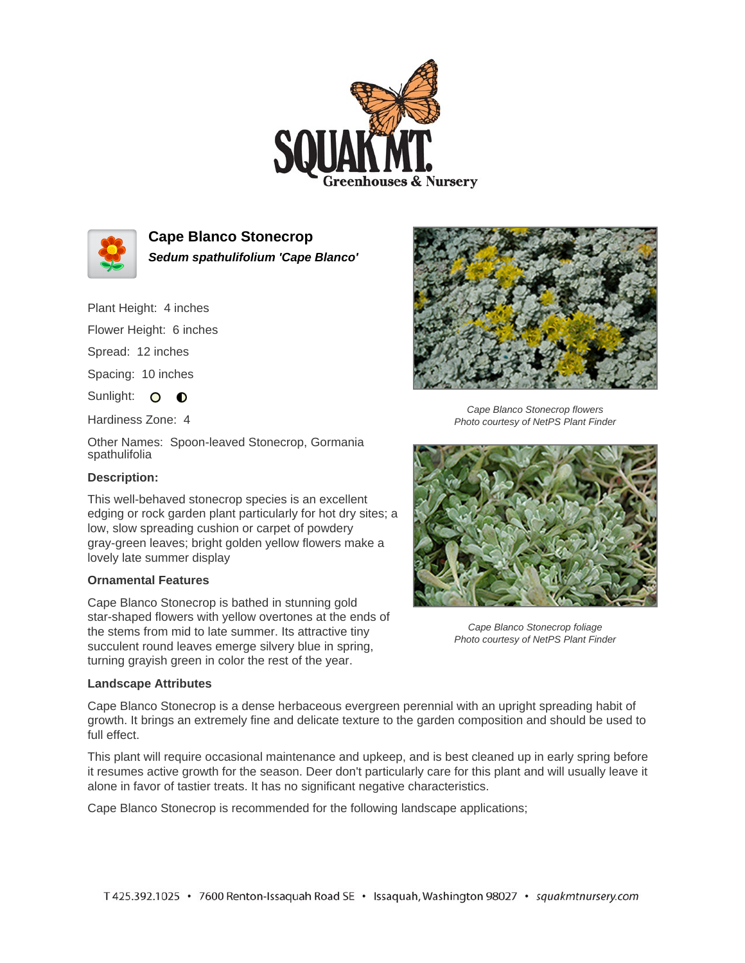



**Cape Blanco Stonecrop Sedum spathulifolium 'Cape Blanco'**

Plant Height: 4 inches

Flower Height: 6 inches

Spread: 12 inches

Spacing: 10 inches

Sunlight: O O

Hardiness Zone: 4

Other Names: Spoon-leaved Stonecrop, Gormania spathulifolia

## **Description:**

This well-behaved stonecrop species is an excellent edging or rock garden plant particularly for hot dry sites; a low, slow spreading cushion or carpet of powdery gray-green leaves; bright golden yellow flowers make a lovely late summer display

## **Ornamental Features**

Cape Blanco Stonecrop is bathed in stunning gold star-shaped flowers with yellow overtones at the ends of the stems from mid to late summer. Its attractive tiny succulent round leaves emerge silvery blue in spring, turning grayish green in color the rest of the year.

## **Landscape Attributes**



Cape Blanco Stonecrop flowers Photo courtesy of NetPS Plant Finder



Cape Blanco Stonecrop foliage Photo courtesy of NetPS Plant Finder

Cape Blanco Stonecrop is a dense herbaceous evergreen perennial with an upright spreading habit of growth. It brings an extremely fine and delicate texture to the garden composition and should be used to full effect.

This plant will require occasional maintenance and upkeep, and is best cleaned up in early spring before it resumes active growth for the season. Deer don't particularly care for this plant and will usually leave it alone in favor of tastier treats. It has no significant negative characteristics.

Cape Blanco Stonecrop is recommended for the following landscape applications;